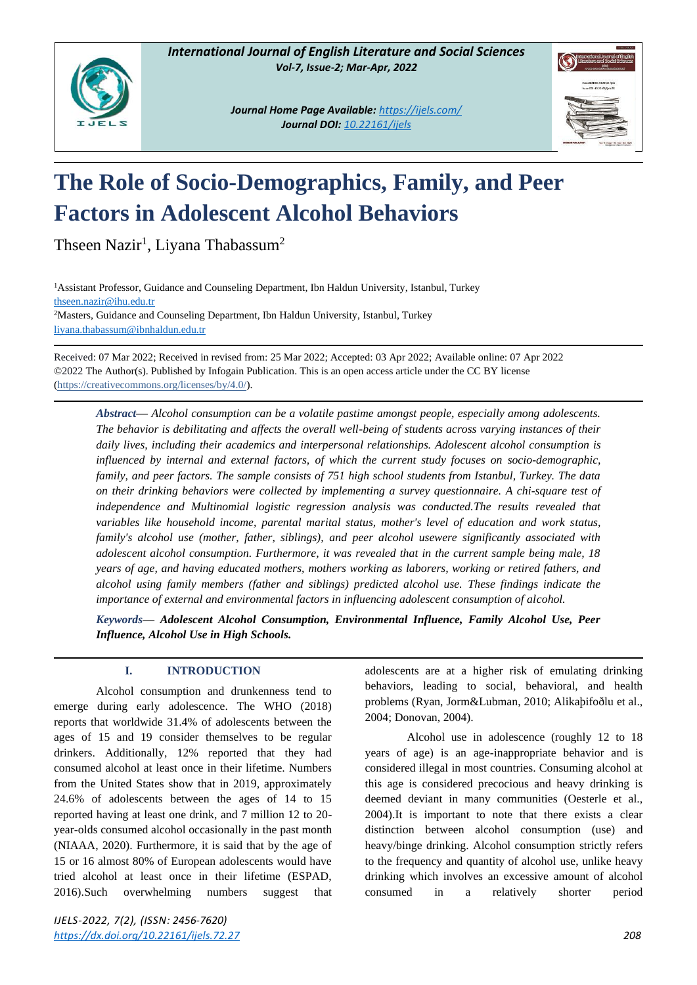

*Journal Home Page Available: <https://ijels.com/> Journal DOI: 10.22161/ijels*



# **The Role of Socio-Demographics, Family, and Peer Factors in Adolescent Alcohol Behaviors**

Thseen Nazir<sup>1</sup>, Liyana Thabassum<sup>2</sup>

<sup>1</sup>Assistant Professor, Guidance and Counseling Department, Ibn Haldun University, Istanbul, Turkey [thseen.nazir@ihu.edu.tr](mailto:thseen.nazir@ihu.edu.tr) <sup>2</sup>Masters, Guidance and Counseling Department, Ibn Haldun University, Istanbul, Turkey [liyana.thabassum@ibnhaldun.edu.tr](mailto:liyana.thabassum@ibnhaldun.edu.tr)

Received: 07 Mar 2022; Received in revised from: 25 Mar 2022; Accepted: 03 Apr 2022; Available online: 07 Apr 2022 ©2022 The Author(s). Published by Infogain Publication. This is an open access article under the CC BY license [\(https://creativecommons.org/licenses/by/4.0/\)](https://creativecommons.org/licenses/by/4.0/).

*Abstract— Alcohol consumption can be a volatile pastime amongst people, especially among adolescents. The behavior is debilitating and affects the overall well-being of students across varying instances of their daily lives, including their academics and interpersonal relationships. Adolescent alcohol consumption is influenced by internal and external factors, of which the current study focuses on socio-demographic, family, and peer factors. The sample consists of 751 high school students from Istanbul, Turkey. The data on their drinking behaviors were collected by implementing a survey questionnaire. A chi-square test of independence and Multinomial logistic regression analysis was conducted.The results revealed that variables like household income, parental marital status, mother's level of education and work status, family's alcohol use (mother, father, siblings), and peer alcohol usewere significantly associated with adolescent alcohol consumption. Furthermore, it was revealed that in the current sample being male, 18 years of age, and having educated mothers, mothers working as laborers, working or retired fathers, and alcohol using family members (father and siblings) predicted alcohol use. These findings indicate the importance of external and environmental factors in influencing adolescent consumption of alcohol.*

*Keywords— Adolescent Alcohol Consumption, Environmental Influence, Family Alcohol Use, Peer Influence, Alcohol Use in High Schools.*

# **I. INTRODUCTION**

Alcohol consumption and drunkenness tend to emerge during early adolescence. The WHO (2018) reports that worldwide 31.4% of adolescents between the ages of 15 and 19 consider themselves to be regular drinkers. Additionally, 12% reported that they had consumed alcohol at least once in their lifetime. Numbers from the United States show that in 2019, approximately 24.6% of adolescents between the ages of 14 to 15 reported having at least one drink, and 7 million 12 to 20 year-olds consumed alcohol occasionally in the past month (NIAAA, 2020). Furthermore, it is said that by the age of 15 or 16 almost 80% of European adolescents would have tried alcohol at least once in their lifetime (ESPAD, 2016).Such overwhelming numbers suggest that adolescents are at a higher risk of emulating drinking behaviors, leading to social, behavioral, and health problems (Ryan, Jorm&Lubman, 2010; Alikaþifoðlu et al., 2004; Donovan, 2004).

Alcohol use in adolescence (roughly 12 to 18 years of age) is an age-inappropriate behavior and is considered illegal in most countries. Consuming alcohol at this age is considered precocious and heavy drinking is deemed deviant in many communities (Oesterle et al., 2004).It is important to note that there exists a clear distinction between alcohol consumption (use) and heavy/binge drinking. Alcohol consumption strictly refers to the frequency and quantity of alcohol use, unlike heavy drinking which involves an excessive amount of alcohol consumed in a relatively shorter period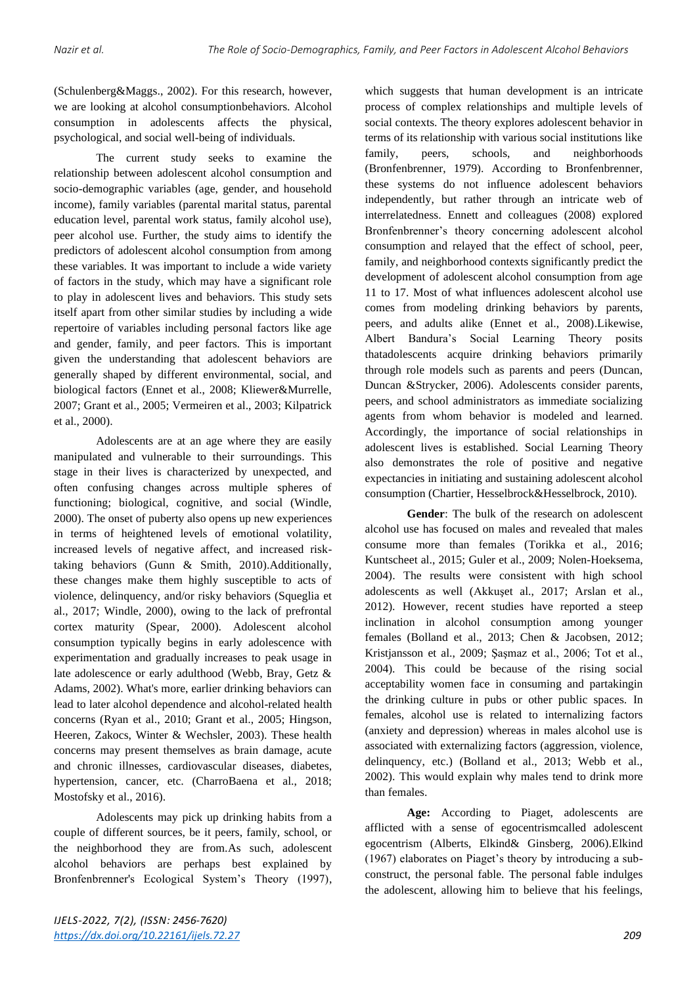(Schulenberg&Maggs., 2002). For this research, however, we are looking at alcohol consumptionbehaviors. Alcohol consumption in adolescents affects the physical, psychological, and social well-being of individuals.

The current study seeks to examine the relationship between adolescent alcohol consumption and socio-demographic variables (age, gender, and household income), family variables (parental marital status, parental education level, parental work status, family alcohol use), peer alcohol use. Further, the study aims to identify the predictors of adolescent alcohol consumption from among these variables. It was important to include a wide variety of factors in the study, which may have a significant role to play in adolescent lives and behaviors. This study sets itself apart from other similar studies by including a wide repertoire of variables including personal factors like age and gender, family, and peer factors. This is important given the understanding that adolescent behaviors are generally shaped by different environmental, social, and biological factors (Ennet et al., 2008; Kliewer&Murrelle, 2007; Grant et al., 2005; Vermeiren et al., 2003; Kilpatrick et al., 2000).

Adolescents are at an age where they are easily manipulated and vulnerable to their surroundings. This stage in their lives is characterized by unexpected, and often confusing changes across multiple spheres of functioning; biological, cognitive, and social (Windle, 2000). The onset of puberty also opens up new experiences in terms of heightened levels of emotional volatility, increased levels of negative affect, and increased risktaking behaviors (Gunn & Smith, 2010).Additionally, these changes make them highly susceptible to acts of violence, delinquency, and/or risky behaviors (Squeglia et al., 2017; Windle, 2000), owing to the lack of prefrontal cortex maturity (Spear, 2000). Adolescent alcohol consumption typically begins in early adolescence with experimentation and gradually increases to peak usage in late adolescence or early adulthood (Webb, Bray, Getz & Adams, 2002). What's more, earlier drinking behaviors can lead to later alcohol dependence and alcohol-related health concerns (Ryan et al., 2010; Grant et al., 2005; Hingson, Heeren, Zakocs, Winter & Wechsler, 2003). These health concerns may present themselves as brain damage, acute and chronic illnesses, cardiovascular diseases, diabetes, hypertension, cancer, etc. (CharroBaena et al., 2018; Mostofsky et al., 2016).

Adolescents may pick up drinking habits from a couple of different sources, be it peers, family, school, or the neighborhood they are from.As such, adolescent alcohol behaviors are perhaps best explained by Bronfenbrenner's Ecological System's Theory (1997), which suggests that human development is an intricate process of complex relationships and multiple levels of social contexts. The theory explores adolescent behavior in terms of its relationship with various social institutions like family, peers, schools, and neighborhoods (Bronfenbrenner, 1979). According to Bronfenbrenner, these systems do not influence adolescent behaviors independently, but rather through an intricate web of interrelatedness. Ennett and colleagues (2008) explored Bronfenbrenner's theory concerning adolescent alcohol consumption and relayed that the effect of school, peer, family, and neighborhood contexts significantly predict the development of adolescent alcohol consumption from age 11 to 17. Most of what influences adolescent alcohol use comes from modeling drinking behaviors by parents, peers, and adults alike (Ennet et al., 2008).Likewise, Albert Bandura's Social Learning Theory posits thatadolescents acquire drinking behaviors primarily through role models such as parents and peers (Duncan, Duncan &Strycker, 2006). Adolescents consider parents, peers, and school administrators as immediate socializing agents from whom behavior is modeled and learned. Accordingly, the importance of social relationships in adolescent lives is established. Social Learning Theory also demonstrates the role of positive and negative expectancies in initiating and sustaining adolescent alcohol consumption (Chartier, Hesselbrock&Hesselbrock, 2010).

**Gender**: The bulk of the research on adolescent alcohol use has focused on males and revealed that males consume more than females (Torikka et al., 2016; Kuntscheet al., 2015; Guler et al., 2009; Nolen-Hoeksema, 2004). The results were consistent with high school adolescents as well (Akkuşet al., 2017; Arslan et al., 2012). However, recent studies have reported a steep inclination in alcohol consumption among younger females (Bolland et al., 2013; Chen & Jacobsen, 2012; Kristjansson et al., 2009; Şaşmaz et al., 2006; Tot et al., 2004). This could be because of the rising social acceptability women face in consuming and partakingin the drinking culture in pubs or other public spaces. In females, alcohol use is related to internalizing factors (anxiety and depression) whereas in males alcohol use is associated with externalizing factors (aggression, violence, delinquency, etc.) (Bolland et al., 2013; Webb et al., 2002). This would explain why males tend to drink more than females.

**Age:** According to Piaget, adolescents are afflicted with a sense of egocentrismcalled adolescent egocentrism (Alberts, Elkind& Ginsberg, 2006).Elkind (1967) elaborates on Piaget's theory by introducing a subconstruct, the personal fable. The personal fable indulges the adolescent, allowing him to believe that his feelings,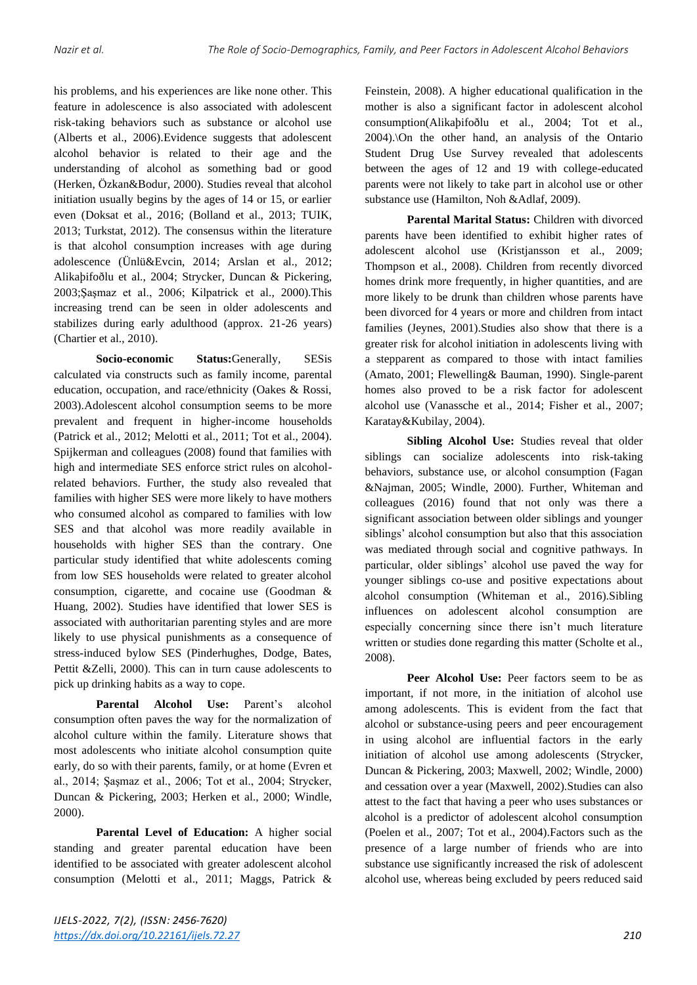his problems, and his experiences are like none other. This feature in adolescence is also associated with adolescent risk-taking behaviors such as substance or alcohol use (Alberts et al., 2006).Evidence suggests that adolescent alcohol behavior is related to their age and the understanding of alcohol as something bad or good (Herken, Özkan&Bodur, 2000). Studies reveal that alcohol initiation usually begins by the ages of 14 or 15, or earlier even (Doksat et al., 2016; (Bolland et al., 2013; TUIK, 2013; Turkstat, 2012). The consensus within the literature is that alcohol consumption increases with age during adolescence (Ünlü&Evcin, 2014; Arslan et al., 2012; Alikaþifoðlu et al., 2004; Strycker, Duncan & Pickering, 2003;Şaşmaz et al., 2006; Kilpatrick et al., 2000).This increasing trend can be seen in older adolescents and stabilizes during early adulthood (approx. 21-26 years) (Chartier et al., 2010).

**Socio-economic Status:**Generally, SESis calculated via constructs such as family income, parental education, occupation, and race/ethnicity (Oakes & Rossi, 2003).Adolescent alcohol consumption seems to be more prevalent and frequent in higher-income households (Patrick et al., 2012; Melotti et al., 2011; Tot et al., 2004). Spijkerman and colleagues (2008) found that families with high and intermediate SES enforce strict rules on alcoholrelated behaviors. Further, the study also revealed that families with higher SES were more likely to have mothers who consumed alcohol as compared to families with low SES and that alcohol was more readily available in households with higher SES than the contrary. One particular study identified that white adolescents coming from low SES households were related to greater alcohol consumption, cigarette, and cocaine use (Goodman & Huang, 2002). Studies have identified that lower SES is associated with authoritarian parenting styles and are more likely to use physical punishments as a consequence of stress-induced bylow SES (Pinderhughes, Dodge, Bates, Pettit &Zelli, 2000). This can in turn cause adolescents to pick up drinking habits as a way to cope.

**Parental Alcohol Use:** Parent's alcohol consumption often paves the way for the normalization of alcohol culture within the family. Literature shows that most adolescents who initiate alcohol consumption quite early, do so with their parents, family, or at home (Evren et al., 2014; Şaşmaz et al., 2006; Tot et al., 2004; Strycker, Duncan & Pickering, 2003; Herken et al., 2000; Windle, 2000).

**Parental Level of Education:** A higher social standing and greater parental education have been identified to be associated with greater adolescent alcohol consumption (Melotti et al., 2011; Maggs, Patrick &

Feinstein, 2008). A higher educational qualification in the mother is also a significant factor in adolescent alcohol consumption(Alikaþifoðlu et al., 2004; Tot et al., 2004).\On the other hand, an analysis of the Ontario Student Drug Use Survey revealed that adolescents between the ages of 12 and 19 with college-educated parents were not likely to take part in alcohol use or other substance use (Hamilton, Noh &Adlaf, 2009).

Parental Marital Status: Children with divorced parents have been identified to exhibit higher rates of adolescent alcohol use (Kristjansson et al., 2009; Thompson et al., 2008). Children from recently divorced homes drink more frequently, in higher quantities, and are more likely to be drunk than children whose parents have been divorced for 4 years or more and children from intact families (Jeynes, 2001).Studies also show that there is a greater risk for alcohol initiation in adolescents living with a stepparent as compared to those with intact families (Amato, 2001; Flewelling& Bauman, 1990). Single-parent homes also proved to be a risk factor for adolescent alcohol use (Vanassche et al., 2014; Fisher et al., 2007; Karatay&Kubilay, 2004).

**Sibling Alcohol Use:** Studies reveal that older siblings can socialize adolescents into risk-taking behaviors, substance use, or alcohol consumption (Fagan &Najman, 2005; Windle, 2000). Further, Whiteman and colleagues (2016) found that not only was there a significant association between older siblings and younger siblings' alcohol consumption but also that this association was mediated through social and cognitive pathways. In particular, older siblings' alcohol use paved the way for younger siblings co-use and positive expectations about alcohol consumption (Whiteman et al., 2016).Sibling influences on adolescent alcohol consumption are especially concerning since there isn't much literature written or studies done regarding this matter (Scholte et al., 2008).

**Peer Alcohol Use:** Peer factors seem to be as important, if not more, in the initiation of alcohol use among adolescents. This is evident from the fact that alcohol or substance-using peers and peer encouragement in using alcohol are influential factors in the early initiation of alcohol use among adolescents (Strycker, Duncan & Pickering, 2003; Maxwell, 2002; Windle, 2000) and cessation over a year (Maxwell, 2002).Studies can also attest to the fact that having a peer who uses substances or alcohol is a predictor of adolescent alcohol consumption (Poelen et al., 2007; Tot et al., 2004).Factors such as the presence of a large number of friends who are into substance use significantly increased the risk of adolescent alcohol use, whereas being excluded by peers reduced said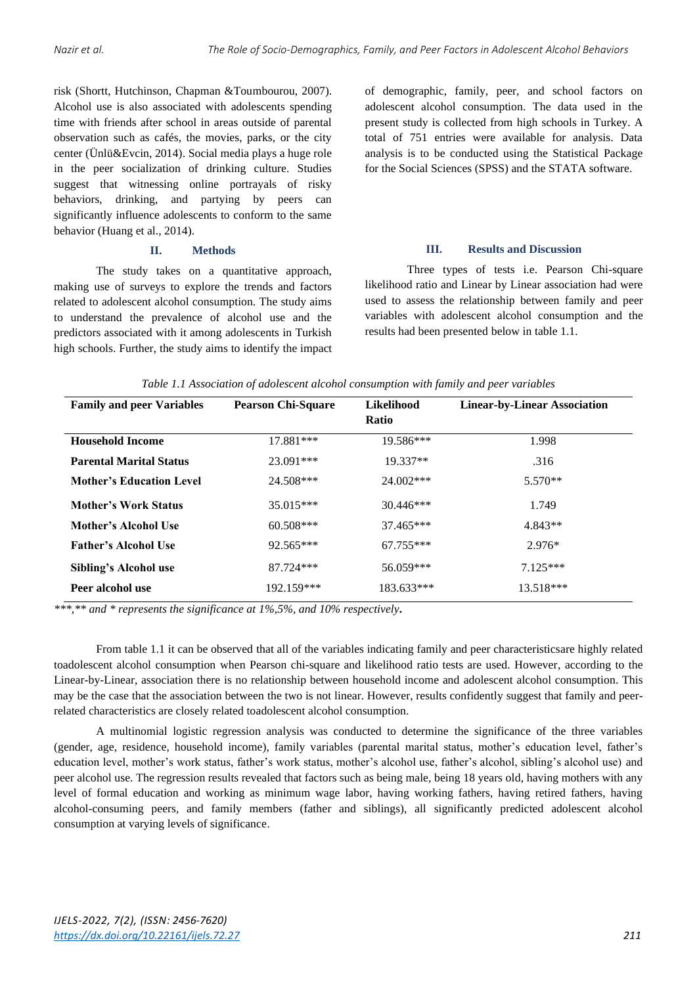risk (Shortt, Hutchinson, Chapman &Toumbourou, 2007). Alcohol use is also associated with adolescents spending time with friends after school in areas outside of parental observation such as cafés, the movies, parks, or the city center (Ünlü&Evcin, 2014). Social media plays a huge role in the peer socialization of drinking culture. Studies suggest that witnessing online portrayals of risky behaviors, drinking, and partying by peers can significantly influence adolescents to conform to the same behavior (Huang et al., 2014).

### **II. Methods**

The study takes on a quantitative approach, making use of surveys to explore the trends and factors related to adolescent alcohol consumption. The study aims to understand the prevalence of alcohol use and the predictors associated with it among adolescents in Turkish high schools. Further, the study aims to identify the impact of demographic, family, peer, and school factors on adolescent alcohol consumption. The data used in the present study is collected from high schools in Turkey. A total of 751 entries were available for analysis. Data analysis is to be conducted using the Statistical Package for the Social Sciences (SPSS) and the STATA software.

# **III. Results and Discussion**

Three types of tests i.e. Pearson Chi-square likelihood ratio and Linear by Linear association had were used to assess the relationship between family and peer variables with adolescent alcohol consumption and the results had been presented below in table 1.1.

|  | Table 1.1 Association of adolescent alcohol consumption with family and peer variables |
|--|----------------------------------------------------------------------------------------|
|  |                                                                                        |

| <b>Family and peer Variables</b> | <b>Pearson Chi-Square</b> | <b>Likelihood</b> | <b>Linear-by-Linear Association</b> |
|----------------------------------|---------------------------|-------------------|-------------------------------------|
|                                  |                           | <b>Ratio</b>      |                                     |
| <b>Household Income</b>          | 17.881***                 | $19.586***$       | 1.998                               |
| <b>Parental Marital Status</b>   | 23.091***                 | 19.337**          | .316                                |
| <b>Mother's Education Level</b>  | 24.508***                 | $24.002***$       | 5.570**                             |
| Mother's Work Status             | $35.015***$               | $30.446***$       | 1.749                               |
| Mother's Alcohol Use             | $60.508***$               | $37.465***$       | $4.843**$                           |
| <b>Father's Alcohol Use</b>      | $92.565***$               | $67.755***$       | $2.976*$                            |
| <b>Sibling's Alcohol use</b>     | 87.724***                 | 56.059***         | $7125***$                           |
| Peer alcohol use                 | 192.159***                | 183.633***        | $13.518***$                         |

*\*\*\*,\*\* and \* represents the significance at 1%,5%, and 10% respectively***.**

From table 1.1 it can be observed that all of the variables indicating family and peer characteristicsare highly related toadolescent alcohol consumption when Pearson chi-square and likelihood ratio tests are used. However, according to the Linear-by-Linear, association there is no relationship between household income and adolescent alcohol consumption. This may be the case that the association between the two is not linear. However, results confidently suggest that family and peerrelated characteristics are closely related toadolescent alcohol consumption.

A multinomial logistic regression analysis was conducted to determine the significance of the three variables (gender, age, residence, household income), family variables (parental marital status, mother's education level, father's education level, mother's work status, father's work status, mother's alcohol use, father's alcohol, sibling's alcohol use) and peer alcohol use. The regression results revealed that factors such as being male, being 18 years old, having mothers with any level of formal education and working as minimum wage labor, having working fathers, having retired fathers, having alcohol-consuming peers, and family members (father and siblings), all significantly predicted adolescent alcohol consumption at varying levels of significance.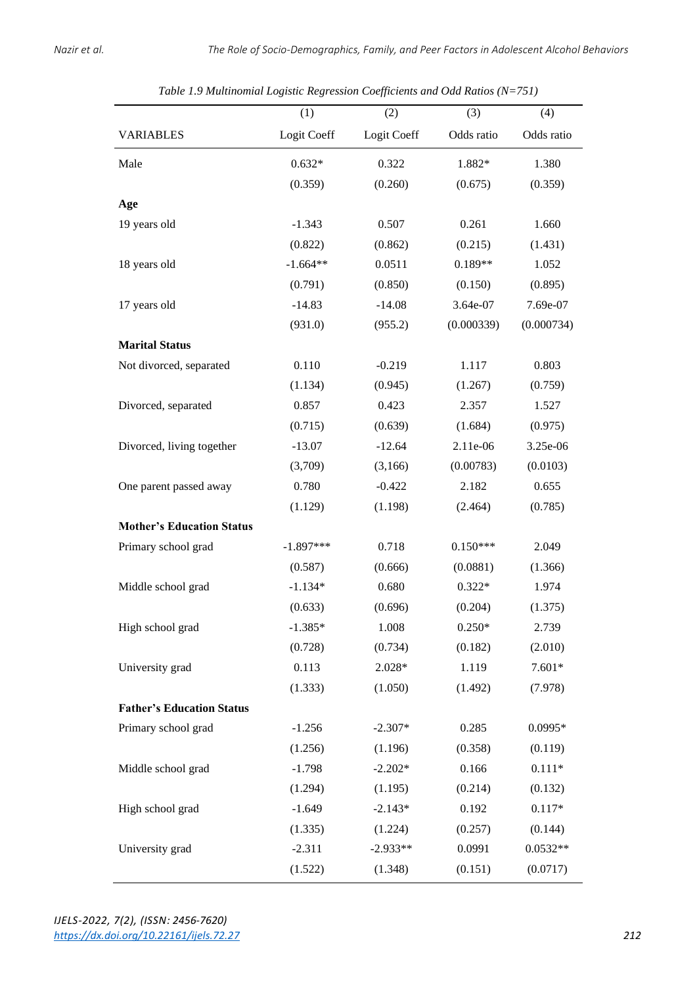|                                  | (1)         | (2)         | (3)        | (4)        |
|----------------------------------|-------------|-------------|------------|------------|
| <b>VARIABLES</b>                 | Logit Coeff | Logit Coeff | Odds ratio | Odds ratio |
| Male                             | $0.632*$    | 0.322       | 1.882*     | 1.380      |
|                                  | (0.359)     | (0.260)     | (0.675)    | (0.359)    |
| Age                              |             |             |            |            |
| 19 years old                     | $-1.343$    | 0.507       | 0.261      | 1.660      |
|                                  | (0.822)     | (0.862)     | (0.215)    | (1.431)    |
| 18 years old                     | $-1.664**$  | 0.0511      | $0.189**$  | 1.052      |
|                                  | (0.791)     | (0.850)     | (0.150)    | (0.895)    |
| 17 years old                     | $-14.83$    | $-14.08$    | 3.64e-07   | 7.69e-07   |
|                                  | (931.0)     | (955.2)     | (0.000339) | (0.000734) |
| <b>Marital Status</b>            |             |             |            |            |
| Not divorced, separated          | 0.110       | $-0.219$    | 1.117      | 0.803      |
|                                  | (1.134)     | (0.945)     | (1.267)    | (0.759)    |
| Divorced, separated              | 0.857       | 0.423       | 2.357      | 1.527      |
|                                  | (0.715)     | (0.639)     | (1.684)    | (0.975)    |
| Divorced, living together        | $-13.07$    | $-12.64$    | 2.11e-06   | 3.25e-06   |
|                                  | (3,709)     | (3,166)     | (0.00783)  | (0.0103)   |
| One parent passed away           | 0.780       | $-0.422$    | 2.182      | 0.655      |
|                                  | (1.129)     | (1.198)     | (2.464)    | (0.785)    |
| <b>Mother's Education Status</b> |             |             |            |            |
| Primary school grad              | $-1.897***$ | 0.718       | $0.150***$ | 2.049      |
|                                  | (0.587)     | (0.666)     | (0.0881)   | (1.366)    |
| Middle school grad               | $-1.134*$   | 0.680       | $0.322*$   | 1.974      |
|                                  | (0.633)     | (0.696)     | (0.204)    | (1.375)    |
| High school grad                 | $-1.385*$   | 1.008       | $0.250*$   | 2.739      |
|                                  | (0.728)     | (0.734)     | (0.182)    | (2.010)    |
| University grad                  | 0.113       | $2.028*$    | 1.119      | $7.601*$   |
|                                  | (1.333)     | (1.050)     | (1.492)    | (7.978)    |
| <b>Father's Education Status</b> |             |             |            |            |
| Primary school grad              | $-1.256$    | $-2.307*$   | 0.285      | 0.0995*    |
|                                  | (1.256)     | (1.196)     | (0.358)    | (0.119)    |
| Middle school grad               | $-1.798$    | $-2.202*$   | 0.166      | $0.111*$   |
|                                  | (1.294)     | (1.195)     | (0.214)    | (0.132)    |
| High school grad                 | $-1.649$    | $-2.143*$   | 0.192      | $0.117*$   |
|                                  | (1.335)     | (1.224)     | (0.257)    | (0.144)    |
| University grad                  | $-2.311$    | $-2.933**$  | 0.0991     | $0.0532**$ |
|                                  | (1.522)     | (1.348)     | (0.151)    | (0.0717)   |

*Table 1.9 Multinomial Logistic Regression Coefficients and Odd Ratios (N=751)*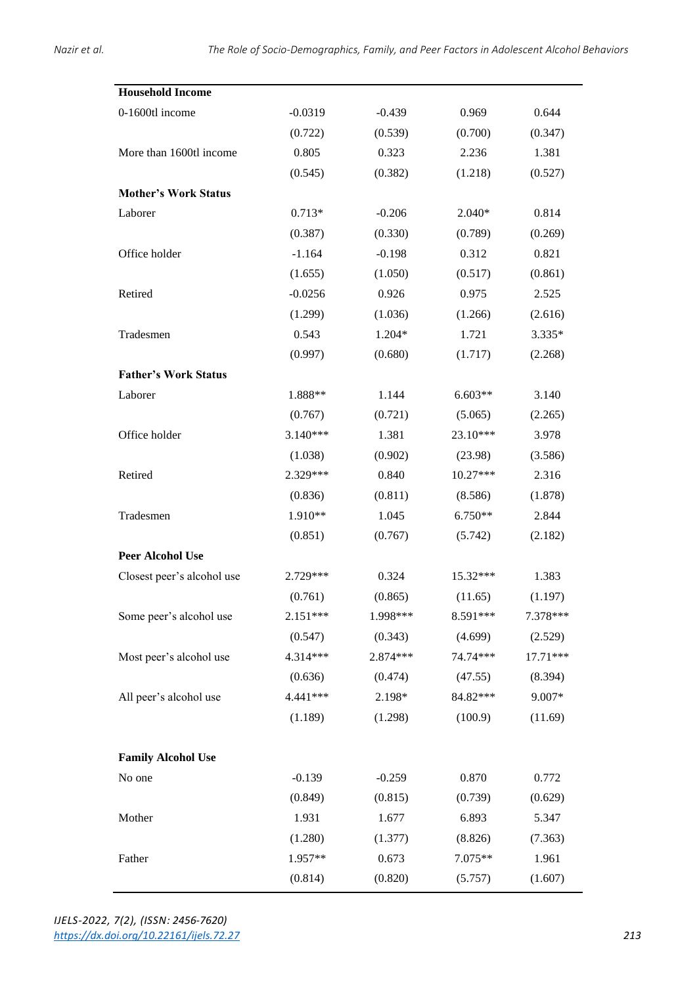| <b>Household Income</b>     |           |          |            |          |
|-----------------------------|-----------|----------|------------|----------|
|                             |           |          |            |          |
| 0-1600tl income             | $-0.0319$ | $-0.439$ | 0.969      | 0.644    |
|                             | (0.722)   | (0.539)  | (0.700)    | (0.347)  |
| More than 1600tl income     | 0.805     | 0.323    | 2.236      | 1.381    |
|                             | (0.545)   | (0.382)  | (1.218)    | (0.527)  |
| <b>Mother's Work Status</b> |           |          |            |          |
| Laborer                     | $0.713*$  | $-0.206$ | $2.040*$   | 0.814    |
|                             | (0.387)   | (0.330)  | (0.789)    | (0.269)  |
| Office holder               | $-1.164$  | $-0.198$ | 0.312      | 0.821    |
|                             | (1.655)   | (1.050)  | (0.517)    | (0.861)  |
| Retired                     | $-0.0256$ | 0.926    | 0.975      | 2.525    |
|                             | (1.299)   | (1.036)  | (1.266)    | (2.616)  |
| Tradesmen                   | 0.543     | 1.204*   | 1.721      | 3.335*   |
|                             | (0.997)   | (0.680)  | (1.717)    | (2.268)  |
| <b>Father's Work Status</b> |           |          |            |          |
| Laborer                     | 1.888**   | 1.144    | $6.603**$  | 3.140    |
|                             | (0.767)   | (0.721)  | (5.065)    | (2.265)  |
| Office holder               | 3.140***  | 1.381    | $23.10***$ | 3.978    |
|                             | (1.038)   | (0.902)  | (23.98)    | (3.586)  |
| Retired                     | 2.329***  | 0.840    | $10.27***$ | 2.316    |
|                             | (0.836)   | (0.811)  | (8.586)    | (1.878)  |
| Tradesmen                   | 1.910**   | 1.045    | $6.750**$  | 2.844    |
|                             | (0.851)   | (0.767)  | (5.742)    | (2.182)  |
| <b>Peer Alcohol Use</b>     |           |          |            |          |
| Closest peer's alcohol use  | 2.729***  | 0.324    | 15.32***   | 1.383    |
|                             | (0.761)   | (0.865)  | (11.65)    | (1.197)  |
| Some peer's alcohol use     | 2.151***  | 1.998*** | 8.591***   | 7.378*** |
|                             | (0.547)   | (0.343)  | (4.699)    | (2.529)  |
| Most peer's alcohol use     | 4.314***  | 2.874*** | 74.74***   | 17.71*** |
|                             | (0.636)   | (0.474)  | (47.55)    | (8.394)  |
| All peer's alcohol use      | 4.441 *** | 2.198*   | 84.82***   | 9.007*   |
|                             | (1.189)   | (1.298)  | (100.9)    | (11.69)  |
| <b>Family Alcohol Use</b>   |           |          |            |          |
| No one                      | $-0.139$  | $-0.259$ | 0.870      | 0.772    |
|                             | (0.849)   | (0.815)  | (0.739)    | (0.629)  |
| Mother                      | 1.931     | 1.677    | 6.893      | 5.347    |
|                             | (1.280)   | (1.377)  | (8.826)    | (7.363)  |
| Father                      | 1.957**   | 0.673    | 7.075**    | 1.961    |
|                             | (0.814)   | (0.820)  | (5.757)    | (1.607)  |

*IJELS-2022, 7(2), (ISSN: 2456-7620) <https://dx.doi.org/10.22161/ijels.72.27>213*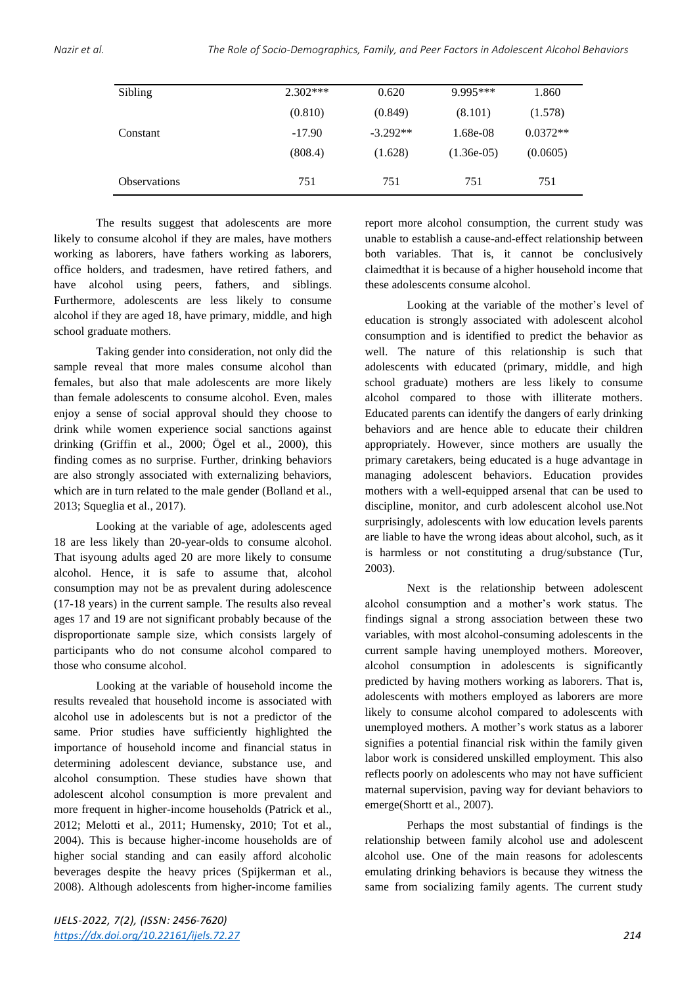| Sibling             | $2.302***$ | 0.620      | 9.995***     | 1.860      |
|---------------------|------------|------------|--------------|------------|
|                     | (0.810)    | (0.849)    | (8.101)      | (1.578)    |
| Constant            | $-17.90$   | $-3.292**$ | 1.68e-08     | $0.0372**$ |
|                     | (808.4)    | (1.628)    | $(1.36e-05)$ | (0.0605)   |
| <b>Observations</b> | 751        | 751        | 751          | 751        |

The results suggest that adolescents are more likely to consume alcohol if they are males, have mothers working as laborers, have fathers working as laborers, office holders, and tradesmen, have retired fathers, and have alcohol using peers, fathers, and siblings. Furthermore, adolescents are less likely to consume alcohol if they are aged 18, have primary, middle, and high school graduate mothers.

Taking gender into consideration, not only did the sample reveal that more males consume alcohol than females, but also that male adolescents are more likely than female adolescents to consume alcohol. Even, males enjoy a sense of social approval should they choose to drink while women experience social sanctions against drinking (Griffin et al., 2000; Ögel et al., 2000), this finding comes as no surprise. Further, drinking behaviors are also strongly associated with externalizing behaviors, which are in turn related to the male gender (Bolland et al., 2013; Squeglia et al., 2017).

Looking at the variable of age, adolescents aged 18 are less likely than 20-year-olds to consume alcohol. That isyoung adults aged 20 are more likely to consume alcohol. Hence, it is safe to assume that, alcohol consumption may not be as prevalent during adolescence (17-18 years) in the current sample. The results also reveal ages 17 and 19 are not significant probably because of the disproportionate sample size, which consists largely of participants who do not consume alcohol compared to those who consume alcohol.

Looking at the variable of household income the results revealed that household income is associated with alcohol use in adolescents but is not a predictor of the same. Prior studies have sufficiently highlighted the importance of household income and financial status in determining adolescent deviance, substance use, and alcohol consumption. These studies have shown that adolescent alcohol consumption is more prevalent and more frequent in higher-income households (Patrick et al., 2012; Melotti et al., 2011; Humensky, 2010; Tot et al., 2004). This is because higher-income households are of higher social standing and can easily afford alcoholic beverages despite the heavy prices (Spijkerman et al., 2008). Although adolescents from higher-income families report more alcohol consumption, the current study was unable to establish a cause-and-effect relationship between both variables. That is, it cannot be conclusively claimedthat it is because of a higher household income that these adolescents consume alcohol.

Looking at the variable of the mother's level of education is strongly associated with adolescent alcohol consumption and is identified to predict the behavior as well. The nature of this relationship is such that adolescents with educated (primary, middle, and high school graduate) mothers are less likely to consume alcohol compared to those with illiterate mothers. Educated parents can identify the dangers of early drinking behaviors and are hence able to educate their children appropriately. However, since mothers are usually the primary caretakers, being educated is a huge advantage in managing adolescent behaviors. Education provides mothers with a well-equipped arsenal that can be used to discipline, monitor, and curb adolescent alcohol use.Not surprisingly, adolescents with low education levels parents are liable to have the wrong ideas about alcohol, such, as it is harmless or not constituting a drug/substance (Tur, 2003).

Next is the relationship between adolescent alcohol consumption and a mother's work status. The findings signal a strong association between these two variables, with most alcohol-consuming adolescents in the current sample having unemployed mothers. Moreover, alcohol consumption in adolescents is significantly predicted by having mothers working as laborers. That is, adolescents with mothers employed as laborers are more likely to consume alcohol compared to adolescents with unemployed mothers. A mother's work status as a laborer signifies a potential financial risk within the family given labor work is considered unskilled employment. This also reflects poorly on adolescents who may not have sufficient maternal supervision, paving way for deviant behaviors to emerge(Shortt et al., 2007).

Perhaps the most substantial of findings is the relationship between family alcohol use and adolescent alcohol use. One of the main reasons for adolescents emulating drinking behaviors is because they witness the same from socializing family agents. The current study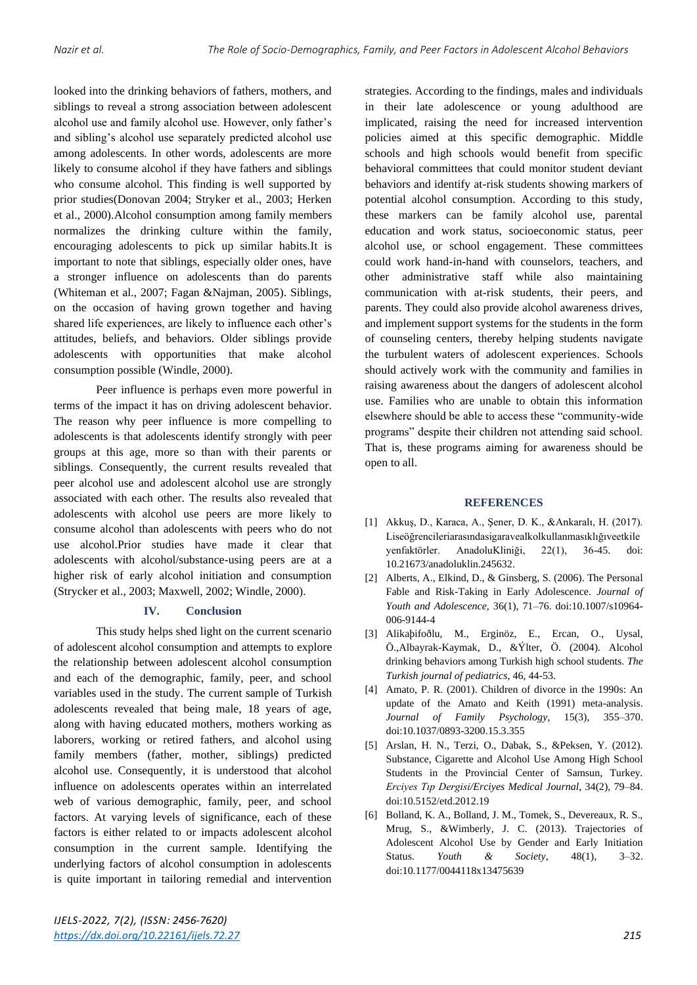looked into the drinking behaviors of fathers, mothers, and siblings to reveal a strong association between adolescent alcohol use and family alcohol use. However, only father's and sibling's alcohol use separately predicted alcohol use among adolescents. In other words, adolescents are more likely to consume alcohol if they have fathers and siblings who consume alcohol. This finding is well supported by prior studies(Donovan 2004; Stryker et al., 2003; Herken et al., 2000).Alcohol consumption among family members normalizes the drinking culture within the family, encouraging adolescents to pick up similar habits.It is important to note that siblings, especially older ones, have a stronger influence on adolescents than do parents (Whiteman et al., 2007; Fagan &Najman, 2005). Siblings, on the occasion of having grown together and having shared life experiences, are likely to influence each other's attitudes, beliefs, and behaviors. Older siblings provide adolescents with opportunities that make alcohol consumption possible (Windle, 2000).

Peer influence is perhaps even more powerful in terms of the impact it has on driving adolescent behavior. The reason why peer influence is more compelling to adolescents is that adolescents identify strongly with peer groups at this age, more so than with their parents or siblings. Consequently, the current results revealed that peer alcohol use and adolescent alcohol use are strongly associated with each other. The results also revealed that adolescents with alcohol use peers are more likely to consume alcohol than adolescents with peers who do not use alcohol.Prior studies have made it clear that adolescents with alcohol/substance-using peers are at a higher risk of early alcohol initiation and consumption (Strycker et al., 2003; Maxwell, 2002; Windle, 2000).

# **IV. Conclusion**

This study helps shed light on the current scenario of adolescent alcohol consumption and attempts to explore the relationship between adolescent alcohol consumption and each of the demographic, family, peer, and school variables used in the study. The current sample of Turkish adolescents revealed that being male, 18 years of age, along with having educated mothers, mothers working as laborers, working or retired fathers, and alcohol using family members (father, mother, siblings) predicted alcohol use. Consequently, it is understood that alcohol influence on adolescents operates within an interrelated web of various demographic, family, peer, and school factors. At varying levels of significance, each of these factors is either related to or impacts adolescent alcohol consumption in the current sample. Identifying the underlying factors of alcohol consumption in adolescents is quite important in tailoring remedial and intervention strategies. According to the findings, males and individuals in their late adolescence or young adulthood are implicated, raising the need for increased intervention policies aimed at this specific demographic. Middle schools and high schools would benefit from specific behavioral committees that could monitor student deviant behaviors and identify at-risk students showing markers of potential alcohol consumption. According to this study, these markers can be family alcohol use, parental education and work status, socioeconomic status, peer alcohol use, or school engagement. These committees could work hand-in-hand with counselors, teachers, and other administrative staff while also maintaining communication with at-risk students, their peers, and parents. They could also provide alcohol awareness drives, and implement support systems for the students in the form of counseling centers, thereby helping students navigate the turbulent waters of adolescent experiences. Schools should actively work with the community and families in raising awareness about the dangers of adolescent alcohol use. Families who are unable to obtain this information elsewhere should be able to access these "community-wide programs" despite their children not attending said school. That is, these programs aiming for awareness should be open to all.

#### **REFERENCES**

- [1] Akkuş, D., Karaca, A., Şener, D. K., &Ankaralı, H. (2017). Liseöğrencileriarasındasigaravealkolkullanmasıklığıveetkile yenfaktörler. AnadoluKliniği, 22(1), 36-45. doi: 10.21673/anadoluklin.245632.
- [2] Alberts, A., Elkind, D., & Ginsberg, S. (2006). The Personal Fable and Risk-Taking in Early Adolescence. *Journal of Youth and Adolescence*, 36(1), 71–76. doi:10.1007/s10964- 006-9144-4
- [3] Alikaþifoðlu, M., Erginöz, E., Ercan, O., Uysal, Ö.,Albayrak-Kaymak, D., &Ýlter, Ö. (2004). Alcohol drinking behaviors among Turkish high school students. *The Turkish journal of pediatrics*, 46, 44-53.
- [4] Amato, P. R. (2001). Children of divorce in the 1990s: An update of the Amato and Keith (1991) meta-analysis. *Journal of Family Psychology*, 15(3), 355–370. doi:10.1037/0893-3200.15.3.355
- [5] Arslan, H. N., Terzi, O., Dabak, S., &Peksen, Y. (2012). Substance, Cigarette and Alcohol Use Among High School Students in the Provincial Center of Samsun, Turkey. *Erciyes Tıp Dergisi/Erciyes Medical Journal*, 34(2), 79–84. doi:10.5152/etd.2012.19
- [6] Bolland, K. A., Bolland, J. M., Tomek, S., Devereaux, R. S., Mrug, S., &Wimberly, J. C. (2013). Trajectories of Adolescent Alcohol Use by Gender and Early Initiation Status. *Youth & Society*, 48(1), 3–32. doi:10.1177/0044118x13475639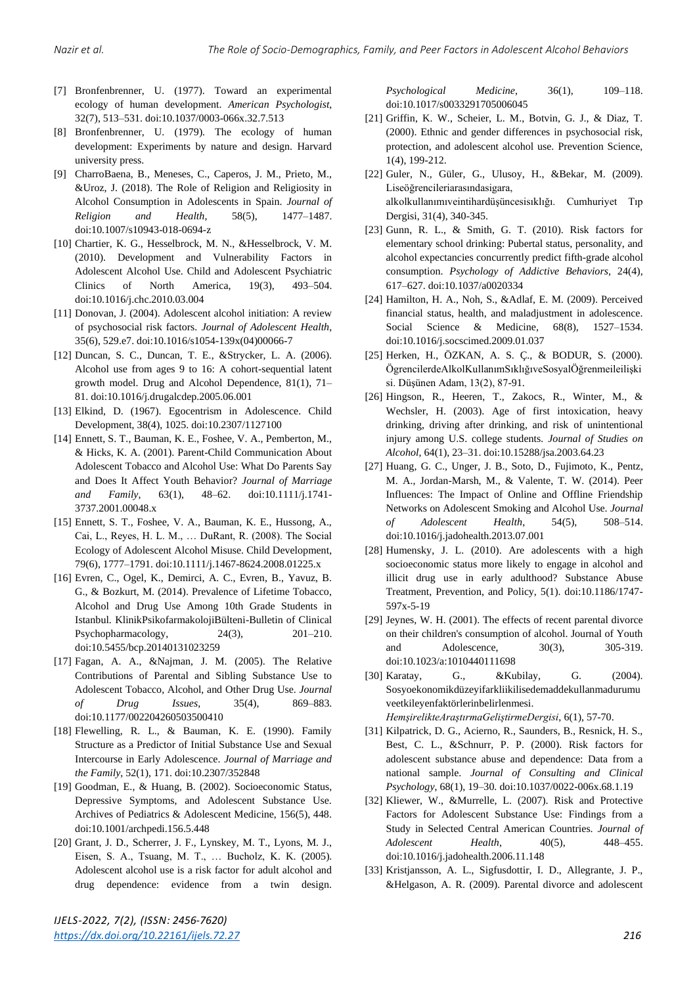- [7] Bronfenbrenner, U. (1977). Toward an experimental ecology of human development. *American Psychologist*, 32(7), 513–531. doi:10.1037/0003-066x.32.7.513
- [8] Bronfenbrenner, U. (1979). The ecology of human development: Experiments by nature and design. Harvard university press.
- [9] CharroBaena, B., Meneses, C., Caperos, J. M., Prieto, M., &Uroz, J. (2018). The Role of Religion and Religiosity in Alcohol Consumption in Adolescents in Spain. *Journal of Religion and Health*, 58(5), 1477–1487. doi:10.1007/s10943-018-0694-z
- [10] Chartier, K. G., Hesselbrock, M. N., &Hesselbrock, V. M. (2010). Development and Vulnerability Factors in Adolescent Alcohol Use. Child and Adolescent Psychiatric Clinics of North America, 19(3), 493–504. doi:10.1016/j.chc.2010.03.004
- [11] Donovan, J. (2004). Adolescent alcohol initiation: A review of psychosocial risk factors. *Journal of Adolescent Health*, 35(6), 529.e7. doi:10.1016/s1054-139x(04)00066-7
- [12] Duncan, S. C., Duncan, T. E., &Strycker, L. A. (2006). Alcohol use from ages 9 to 16: A cohort-sequential latent growth model. Drug and Alcohol Dependence, 81(1), 71– 81. doi:10.1016/j.drugalcdep.2005.06.001
- [13] Elkind, D. (1967). Egocentrism in Adolescence. Child Development, 38(4), 1025. doi:10.2307/1127100
- [14] Ennett, S. T., Bauman, K. E., Foshee, V. A., Pemberton, M., & Hicks, K. A. (2001). Parent-Child Communication About Adolescent Tobacco and Alcohol Use: What Do Parents Say and Does It Affect Youth Behavior? *Journal of Marriage and Family*, 63(1), 48–62. doi:10.1111/j.1741- 3737.2001.00048.x
- [15] Ennett, S. T., Foshee, V. A., Bauman, K. E., Hussong, A., Cai, L., Reyes, H. L. M., … DuRant, R. (2008). The Social Ecology of Adolescent Alcohol Misuse. Child Development, 79(6), 1777–1791. doi:10.1111/j.1467-8624.2008.01225.x
- [16] Evren, C., Ogel, K., Demirci, A. C., Evren, B., Yavuz, B. G., & Bozkurt, M. (2014). Prevalence of Lifetime Tobacco, Alcohol and Drug Use Among 10th Grade Students in Istanbul. KlinikPsikofarmakolojiBülteni-Bulletin of Clinical Psychopharmacology, 24(3), 201–210. doi:10.5455/bcp.20140131023259
- [17] Fagan, A. A., &Najman, J. M. (2005). The Relative Contributions of Parental and Sibling Substance Use to Adolescent Tobacco, Alcohol, and Other Drug Use. *Journal of Drug Issues*, 35(4), 869–883. doi:10.1177/002204260503500410
- [18] Flewelling, R. L., & Bauman, K. E. (1990). Family Structure as a Predictor of Initial Substance Use and Sexual Intercourse in Early Adolescence. *Journal of Marriage and the Family*, 52(1), 171. doi:10.2307/352848
- [19] Goodman, E., & Huang, B. (2002). Socioeconomic Status, Depressive Symptoms, and Adolescent Substance Use. Archives of Pediatrics & Adolescent Medicine, 156(5), 448. doi:10.1001/archpedi.156.5.448
- [20] Grant, J. D., Scherrer, J. F., Lynskey, M. T., Lyons, M. J., Eisen, S. A., Tsuang, M. T., … Bucholz, K. K. (2005). Adolescent alcohol use is a risk factor for adult alcohol and drug dependence: evidence from a twin design.

*Psychological Medicine*, 36(1), 109–118. doi:10.1017/s0033291705006045

- [21] Griffin, K. W., Scheier, L. M., Botvin, G. J., & Diaz, T. (2000). Ethnic and gender differences in psychosocial risk, protection, and adolescent alcohol use. Prevention Science, 1(4), 199-212.
- [22] Guler, N., Güler, G., Ulusoy, H., &Bekar, M. (2009). Liseöğrencileriarasındasigara, alkolkullanımıveintihardüşüncesisıklığı. Cumhuriyet Tıp Dergisi, 31(4), 340-345.
- [23] Gunn, R. L., & Smith, G. T. (2010). Risk factors for elementary school drinking: Pubertal status, personality, and alcohol expectancies concurrently predict fifth-grade alcohol consumption. *Psychology of Addictive Behaviors*, 24(4), 617–627. doi:10.1037/a0020334
- [24] Hamilton, H. A., Noh, S., &Adlaf, E. M. (2009). Perceived financial status, health, and maladjustment in adolescence. Social Science & Medicine, 68(8), 1527-1534. doi:10.1016/j.socscimed.2009.01.037
- [25] Herken, H., ÖZKAN, A. S. Ç., & BODUR, S. (2000). ÖgrencilerdeAlkolKullanımSıklığıveSosyalÖğrenmeileilişki si. Düşünen Adam, 13(2), 87-91.
- [26] Hingson, R., Heeren, T., Zakocs, R., Winter, M., & Wechsler, H. (2003). Age of first intoxication, heavy drinking, driving after drinking, and risk of unintentional injury among U.S. college students*. Journal of Studies on Alcohol*, 64(1), 23–31. doi:10.15288/jsa.2003.64.23
- [27] Huang, G. C., Unger, J. B., Soto, D., Fujimoto, K., Pentz, M. A., Jordan-Marsh, M., & Valente, T. W. (2014). Peer Influences: The Impact of Online and Offline Friendship Networks on Adolescent Smoking and Alcohol Use. *Journal of Adolescent Health*, 54(5), 508–514. doi:10.1016/j.jadohealth.2013.07.001
- [28] Humensky, J. L. (2010). Are adolescents with a high socioeconomic status more likely to engage in alcohol and illicit drug use in early adulthood? Substance Abuse Treatment, Prevention, and Policy, 5(1). doi:10.1186/1747- 597x-5-19
- [29] Jeynes, W. H. (2001). The effects of recent parental divorce on their children's consumption of alcohol. Journal of Youth and Adolescence, 30(3), 305-319. doi:10.1023/a:1010440111698
- [30] Karatay, G., &Kubilay, G. (2004). Sosyoekonomikdüzeyifarkliikilisedemaddekullanmadurumu veetkileyenfaktörlerinbelirlenmesi.
	- *HemşirelikteAraştırmaGeliştirmeDergisi*, 6(1), 57-70.
- [31] Kilpatrick, D. G., Acierno, R., Saunders, B., Resnick, H. S., Best, C. L., &Schnurr, P. P. (2000). Risk factors for adolescent substance abuse and dependence: Data from a national sample. *Journal of Consulting and Clinical Psychology*, 68(1), 19–30. doi:10.1037/0022-006x.68.1.19
- [32] Kliewer, W., &Murrelle, L. (2007). Risk and Protective Factors for Adolescent Substance Use: Findings from a Study in Selected Central American Countries. *Journal of Adolescent Health*, 40(5), 448–455. doi:10.1016/j.jadohealth.2006.11.148
- [33] Kristjansson, A. L., Sigfusdottir, I. D., Allegrante, J. P., &Helgason, A. R. (2009). Parental divorce and adolescent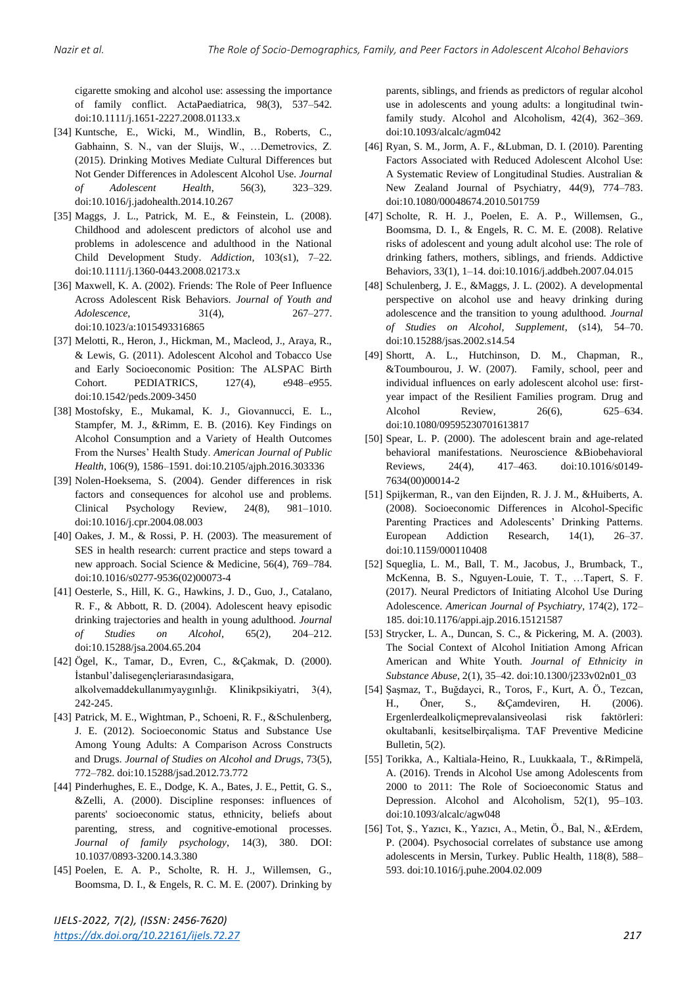cigarette smoking and alcohol use: assessing the importance of family conflict. ActaPaediatrica, 98(3), 537–542. doi:10.1111/j.1651-2227.2008.01133.x

- [34] Kuntsche, E., Wicki, M., Windlin, B., Roberts, C., Gabhainn, S. N., van der Sluijs, W., …Demetrovics, Z. (2015). Drinking Motives Mediate Cultural Differences but Not Gender Differences in Adolescent Alcohol Use. *Journal of Adolescent Health*, 56(3), 323–329. doi:10.1016/j.jadohealth.2014.10.267
- [35] Maggs, J. L., Patrick, M. E., & Feinstein, L. (2008). Childhood and adolescent predictors of alcohol use and problems in adolescence and adulthood in the National Child Development Study. *Addiction*, 103(s1), 7–22. doi:10.1111/j.1360-0443.2008.02173.x
- [36] Maxwell, K. A. (2002). Friends: The Role of Peer Influence Across Adolescent Risk Behaviors. *Journal of Youth and Adolescence*, 31(4), 267–277. doi:10.1023/a:1015493316865
- [37] Melotti, R., Heron, J., Hickman, M., Macleod, J., Araya, R., & Lewis, G. (2011). Adolescent Alcohol and Tobacco Use and Early Socioeconomic Position: The ALSPAC Birth Cohort. PEDIATRICS, 127(4), e948–e955. doi:10.1542/peds.2009-3450
- [38] Mostofsky, E., Mukamal, K. J., Giovannucci, E. L., Stampfer, M. J., &Rimm, E. B. (2016). Key Findings on Alcohol Consumption and a Variety of Health Outcomes From the Nurses' Health Study. *American Journal of Public Health*, 106(9), 1586–1591. doi:10.2105/ajph.2016.303336
- [39] Nolen-Hoeksema, S. (2004). Gender differences in risk factors and consequences for alcohol use and problems. Clinical Psychology Review, 24(8), 981–1010. doi:10.1016/j.cpr.2004.08.003
- [40] Oakes, J. M., & Rossi, P. H. (2003). The measurement of SES in health research: current practice and steps toward a new approach. Social Science & Medicine, 56(4), 769–784. doi:10.1016/s0277-9536(02)00073-4
- [41] Oesterle, S., Hill, K. G., Hawkins, J. D., Guo, J., Catalano, R. F., & Abbott, R. D. (2004). Adolescent heavy episodic drinking trajectories and health in young adulthood. *Journal of Studies on Alcohol*, 65(2), 204–212. doi:10.15288/jsa.2004.65.204
- [42] Ögel, K., Tamar, D., Evren, C., &Çakmak, D. (2000). İstanbul'dalisegençleriarasındasigara, alkolvemaddekullanımyaygınlığı. Klinikpsikiyatri, 3(4), 242-245.
- [43] Patrick, M. E., Wightman, P., Schoeni, R. F., &Schulenberg, J. E. (2012). Socioeconomic Status and Substance Use Among Young Adults: A Comparison Across Constructs and Drugs. *Journal of Studies on Alcohol and Drugs*, 73(5), 772–782. doi:10.15288/jsad.2012.73.772
- [44] Pinderhughes, E. E., Dodge, K. A., Bates, J. E., Pettit, G. S., &Zelli, A. (2000). Discipline responses: influences of parents' socioeconomic status, ethnicity, beliefs about parenting, stress, and cognitive-emotional processes. *Journal of family psychology*, 14(3), 380. DOI: 10.1037/0893-3200.14.3.380
- [45] Poelen, E. A. P., Scholte, R. H. J., Willemsen, G., Boomsma, D. I., & Engels, R. C. M. E. (2007). Drinking by

parents, siblings, and friends as predictors of regular alcohol use in adolescents and young adults: a longitudinal twinfamily study. Alcohol and Alcoholism, 42(4), 362–369. doi:10.1093/alcalc/agm042

- [46] Ryan, S. M., Jorm, A. F., &Lubman, D. I. (2010). Parenting Factors Associated with Reduced Adolescent Alcohol Use: A Systematic Review of Longitudinal Studies. Australian & New Zealand Journal of Psychiatry, 44(9), 774–783. doi:10.1080/00048674.2010.501759
- [47] Scholte, R. H. J., Poelen, E. A. P., Willemsen, G., Boomsma, D. I., & Engels, R. C. M. E. (2008). Relative risks of adolescent and young adult alcohol use: The role of drinking fathers, mothers, siblings, and friends. Addictive Behaviors, 33(1), 1–14. doi:10.1016/j.addbeh.2007.04.015
- [48] Schulenberg, J. E., &Maggs, J. L. (2002). A developmental perspective on alcohol use and heavy drinking during adolescence and the transition to young adulthood. *Journal of Studies on Alcohol, Supplement*, (s14), 54–70. doi:10.15288/jsas.2002.s14.54
- [49] Shortt, A. L., Hutchinson, D. M., Chapman, R., &Toumbourou, J. W. (2007). Family, school, peer and individual influences on early adolescent alcohol use: firstyear impact of the Resilient Families program. Drug and Alcohol Review, 26(6), 625–634. doi:10.1080/09595230701613817
- [50] Spear, L. P. (2000). The adolescent brain and age-related behavioral manifestations. Neuroscience &Biobehavioral Reviews, 24(4), 417–463. doi:10.1016/s0149- 7634(00)00014-2
- [51] Spijkerman, R., van den Eijnden, R. J. J. M., &Huiberts, A. (2008). Socioeconomic Differences in Alcohol-Specific Parenting Practices and Adolescents' Drinking Patterns. European Addiction Research, 14(1), 26–37. doi:10.1159/000110408
- [52] Squeglia, L. M., Ball, T. M., Jacobus, J., Brumback, T., McKenna, B. S., Nguyen-Louie, T. T., …Tapert, S. F. (2017). Neural Predictors of Initiating Alcohol Use During Adolescence. *American Journal of Psychiatry*, 174(2), 172– 185. doi:10.1176/appi.ajp.2016.15121587
- [53] Strycker, L. A., Duncan, S. C., & Pickering, M. A. (2003). The Social Context of Alcohol Initiation Among African American and White Youth. *Journal of Ethnicity in Substance Abuse*, 2(1), 35–42. doi:10.1300/j233v02n01\_03
- [54] Şaşmaz, T., Buğdayci, R., Toros, F., Kurt, A. Ö., Tezcan, H., Öner, S., &Çamdeviren, H. (2006). Ergenlerdealkoliçmeprevalansiveolasi risk faktörleri: okultabanli, kesitselbirçalişma. TAF Preventive Medicine Bulletin, 5(2).
- [55] Torikka, A., Kaltiala-Heino, R., Luukkaala, T., &Rimpelä, A. (2016). Trends in Alcohol Use among Adolescents from 2000 to 2011: The Role of Socioeconomic Status and Depression. Alcohol and Alcoholism, 52(1), 95–103. doi:10.1093/alcalc/agw048
- [56] Tot, Ş., Yazıcı, K., Yazıcı, A., Metin, Ö., Bal, N., &Erdem, P. (2004). Psychosocial correlates of substance use among adolescents in Mersin, Turkey. Public Health, 118(8), 588– 593. doi:10.1016/j.puhe.2004.02.009